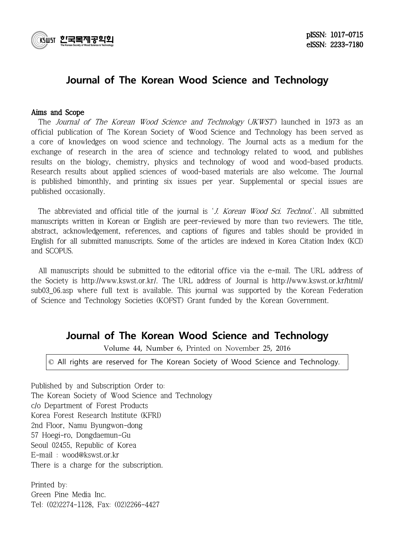

# Journal of The Korean Wood Science and Technology

## Aims and Scope

The Journal of The Korean Wood Science and Technology (JKWST) launched in 1973 as an official publication of The Korean Society of Wood Science and Technology has been served as a core of knowledges on wood science and technology. The Journal acts as a medium for the exchange of research in the area of science and technology related to wood, and publishes results on the biology, chemistry, physics and technology of wood and wood-based products. Research results about applied sciences of wood-based materials are also welcome. The Journal is published bimonthly, and printing six issues per year. Supplemental or special issues are published occasionally.

The abbreviated and official title of the journal is 'J. Korean Wood Sci. Technol.'. All submitted manuscripts written in Korean or English are peer-reviewed by more than two reviewers. The title, abstract, acknowledgement, references, and captions of figures and tables should be provided in English for all submitted manuscripts. Some of the articles are indexed in Korea Citation Index (KCI) and SCOPUS.

 All manuscripts should be submitted to the editorial office via the e-mail. The URL address of the Society is http://www.kswst.or.kr/. The URL address of Journal is http://www.kswst.or.kr/html/ sub03\_06.asp where full text is available. This journal was supported by the Korean Federation of Science and Technology Societies (KOFST) Grant funded by the Korean Government.

# Journal of The Korean Wood Science and Technology

Volume 44, Number 6, Printed on November 25, 2016

© All rights are reserved for The Korean Society of Wood Science and Technology.

Published by and Subscription Order to: The Korean Society of Wood Science and Technology c/o Department of Forest Products Korea Forest Research Institute (KFRI) 2nd Floor, Namu Byungwon-dong 57 Hoegi-ro, Dongdaemun-Gu Seoul 02455, Republic of Korea E-mail : wood@kswst.or.kr There is a charge for the subscription.

Printed by: Green Pine Media Inc. Tel: (02)2274-1128, Fax: (02)2266-4427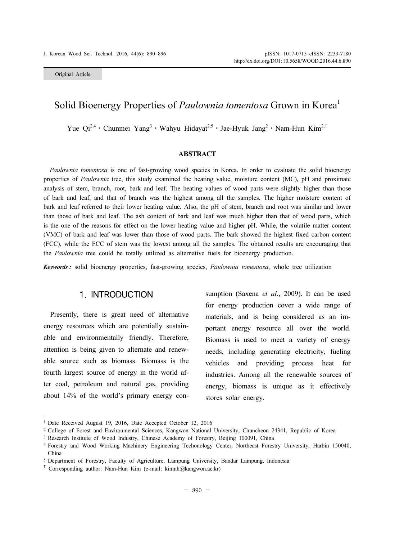Original Article

## Solid Bioenergy Properties of *Paulownia tomentosa* Grown in Korea<sup>1</sup>

Yue Qi<sup>2,4</sup> ⋅ Chunmei Yang<sup>3</sup> ⋅ Wahyu Hidayat<sup>2,5</sup> ⋅ Jae-Hyuk Jang<sup>2</sup> ⋅ Nam-Hun Kim<sup>2,†</sup>

### ABSTRACT

Paulownia tomentosa is one of fast-growing wood species in Korea. In order to evaluate the solid bioenergy properties of *Paulownia* tree, this study examined the heating value, moisture content (MC), pH and proximate analysis of stem, branch, root, bark and leaf. The heating values of wood parts were slightly higher than those of bark and leaf, and that of branch was the highest among all the samples. The higher moisture content of bark and leaf referred to their lower heating value. Also, the pH of stem, branch and root was similar and lower than those of bark and leaf. The ash content of bark and leaf was much higher than that of wood parts, which is the one of the reasons for effect on the lower heating value and higher pH. While, the volatile matter content (VMC) of bark and leaf was lower than those of wood parts. The bark showed the highest fixed carbon content (FCC), while the FCC of stem was the lowest among all the samples. The obtained results are encouraging that the Paulownia tree could be totally utilized as alternative fuels for bioenergy production.

Keywords : solid bioenergy properties, fast-growing species, Paulownia tomentosa, whole tree utilization

## 1. INTRODUCTION

Presently, there is great need of alternative energy resources which are potentially sustainable and environmentally friendly. Therefore, attention is being given to alternate and renewable source such as biomass. Biomass is the fourth largest source of energy in the world after coal, petroleum and natural gas, providing about 14% of the world's primary energy consumption (Saxena et al., 2009). It can be used for energy production cover a wide range of materials, and is being considered as an important energy resource all over the world. Biomass is used to meet a variety of energy needs, including generating electricity, fueling vehicles and providing process heat for industries. Among all the renewable sources of energy, biomass is unique as it effectively stores solar energy.

<sup>1</sup> Date Received August 19, 2016, Date Accepted October 12, 2016

<sup>2</sup> College of Forest and Environmental Sciences, Kangwon National University, Chuncheon 24341, Republic of Korea

<sup>3</sup> Research Institute of Wood Industry, Chinese Academy of Forestry, Beijing 100091, China

<sup>4</sup> Forestry and Wood Working Machinery Engineering Techonology Center, Northeast Forestry University, Harbin 150040, China

<sup>5</sup> Department of Forestry, Faculty of Agriculture, Lampung University, Bandar Lampung, Indonesia

<sup>†</sup> Corresponding author: Nam-Hun Kim (e-mail: kimnh@kangwon.ac.kr)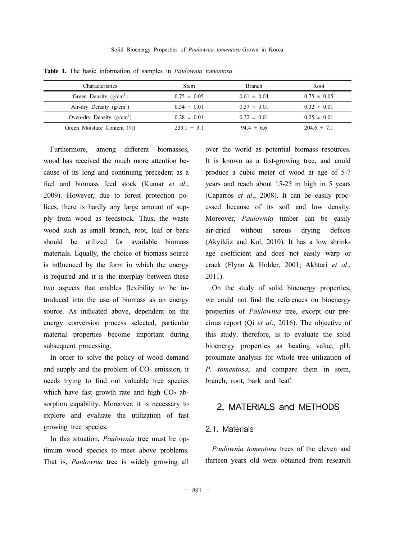| <b>Characteristics</b>        | <b>Stem</b>     | <b>Branch</b>   | Root.           |
|-------------------------------|-----------------|-----------------|-----------------|
| Green Density $(g/cm^3)$      | $0.75 \pm 0.05$ | $0.61 \pm 0.04$ | $0.75 \pm 0.05$ |
| Air-dry Density $(g/cm3)$     | $0.34 \pm 0.01$ | $0.37 \pm 0.01$ | $0.32 \pm 0.01$ |
| Oven-dry Density $(g/cm^3)$   | $0.28 \pm 0.01$ | $0.32 \pm 0.01$ | $0.25 \pm 0.01$ |
| Green Moisture Content $(\%)$ | $233.1 \pm 3.1$ | $94.4 \pm 6.6$  | $204.6 \pm 7.1$ |

Table 1. The basic information of samples in Paulownia tomentosa

Furthermore, among different biomasses, wood has received the much more attention because of its long and continuing precedent as a fuel and biomass feed stock (Kumar et al., 2009). However, due to forest protection polices, there is hardly any large amount of supply from wood as feedstock. Thus, the waste wood such as small branch, root, leaf or bark should be utilized for available biomass materials. Equally, the choice of biomass source is influenced by the form in which the energy is required and it is the interplay between these two aspects that enables flexibility to be introduced into the use of biomass as an energy source. As indicated above, dependent on the energy conversion process selected, particular material properties become important during subsequent processing.

In order to solve the policy of wood demand and supply and the problem of  $CO<sub>2</sub>$  emission, it needs trying to find out valuable tree species which have fast growth rate and high  $CO<sub>2</sub>$  absorption capability. Moreover, it is necessary to explore and evaluate the utilization of fast growing tree species.

In this situation, Paulownia tree must be optimum wood species to meet above problems. That is, Paulownia tree is widely growing all

over the world as potential biomass resources. It is known as a fast-growing tree, and could produce a cubic meter of wood at age of 5-7 years and reach about 15-25 m high in 5 years (Caparrós et al., 2008). It can be easily processed because of its soft and low density. Moreover, *Paulownia* timber can be easily air-dried without serous drying defects (Akyildiz and Kol, 2010). It has a low shrinkage coefficient and does not easily warp or crack (Flynn & Holder, 2001; Akhtari et al., 2011).

On the study of solid bioenergy properties, we could not find the references on bioenergy properties of Paulownia tree, except our precious report (Qi et al., 2016). The objective of this study, therefore, is to evaluate the solid bioenergy properties as heating value, pH, proximate analysis for whole tree utilization of P. tomentosa, and compare them in stem, branch, root, bark and leaf.

## 2. MATERIALS and METHODS

## 2.1. Materials

Paulownia tomentosa trees of the eleven and thirteen years old were obtained from research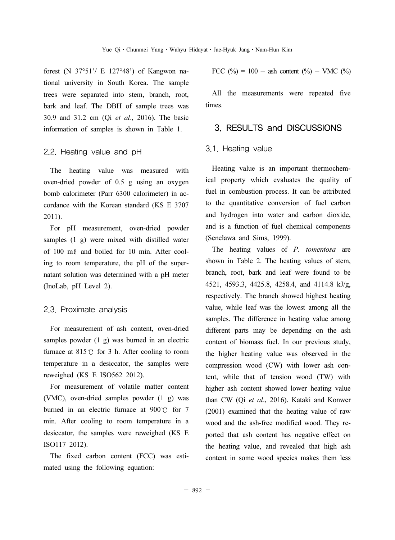forest (N 37°51'/ E 127°48') of Kangwon national university in South Korea. The sample trees were separated into stem, branch, root, bark and leaf. The DBH of sample trees was 30.9 and 31.2 cm (Qi et al., 2016). The basic information of samples is shown in Table 1.

### 2.2. Heating value and pH

The heating value was measured with oven-dried powder of 0.5 g using an oxygen bomb calorimeter (Parr 6300 calorimeter) in accordance with the Korean standard (KS E 3707 2011).

For pH measurement, oven-dried powder samples (1 g) were mixed with distilled water of 100 mℓ and boiled for 10 min. After cooling to room temperature, the pH of the supernatant solution was determined with a pH meter (InoLab, pH Level 2).

### 2.3. Proximate analysis

For measurement of ash content, oven-dried samples powder (1 g) was burned in an electric furnace at 815℃ for 3 h. After cooling to room temperature in a desiccator, the samples were reweighed (KS E ISO562 2012).

For measurement of volatile matter content (VMC), oven-dried samples powder (1 g) was burned in an electric furnace at 900℃ for 7 min. After cooling to room temperature in a desiccator, the samples were reweighed (KS E ISO117 2012).

The fixed carbon content (FCC) was estimated using the following equation:

FCC (
$$
\%
$$
) = 100 - ash content ( $\%$ ) - VMC ( $\%)$ )

All the measurements were repeated five times.

## 3. RESULTS and DISCUSSIONS

### 3.1. Heating value

Heating value is an important thermochemical property which evaluates the quality of fuel in combustion process. It can be attributed to the quantitative conversion of fuel carbon and hydrogen into water and carbon dioxide, and is a function of fuel chemical components (Senelawa and Sims, 1999).

The heating values of P. tomentosa are shown in Table 2. The heating values of stem, branch, root, bark and leaf were found to be 4521, 4593.3, 4425.8, 4258.4, and 4114.8 kJ/g, respectively. The branch showed highest heating value, while leaf was the lowest among all the samples. The difference in heating value among different parts may be depending on the ash content of biomass fuel. In our previous study, the higher heating value was observed in the compression wood (CW) with lower ash content, while that of tension wood (TW) with higher ash content showed lower heating value than CW (Qi et al., 2016). Kataki and Konwer (2001) examined that the heating value of raw wood and the ash-free modified wood. They reported that ash content has negative effect on the heating value, and revealed that high ash content in some wood species makes them less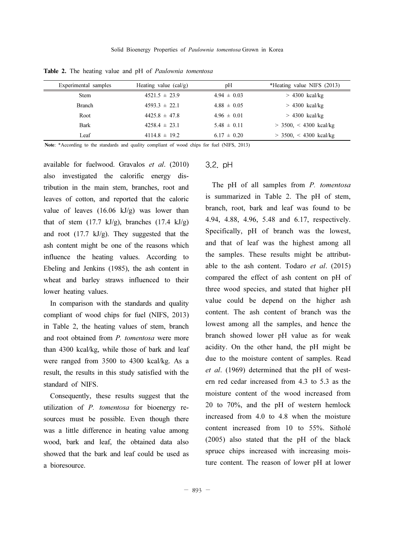| Experimental samples | Heating value $(cal/g)$ | pH              | *Heating value NIFS (2013) |
|----------------------|-------------------------|-----------------|----------------------------|
| <b>Stem</b>          | $4521.5 \pm 23.9$       | $4.94 \pm 0.03$ | $> 4300$ kcal/kg           |
| <b>Branch</b>        | $4593.3 \pm 22.1$       | $4.88 \pm 0.05$ | $> 4300$ kcal/kg           |
| Root                 | $4425.8 \pm 47.8$       | $4.96 \pm 0.01$ | $> 4300$ kcal/kg           |
| <b>Bark</b>          | $4258.4 \pm 23.1$       | $5.48 \pm 0.11$ | $>$ 3500, < 4300 kcal/kg   |
| Leaf                 | $4114.8 \pm 19.2$       | $6.17 \pm 0.20$ | $>$ 3500, < 4300 kcal/kg   |

Table 2. The heating value and pH of Paulownia tomentosa

Note: \*According to the standards and quality compliant of wood chips for fuel (NIFS, 2013)

available for fuelwood. Gravalos et al. (2010) also investigated the calorific energy distribution in the main stem, branches, root and leaves of cotton, and reported that the caloric value of leaves  $(16.06 \text{ kJ/g})$  was lower than that of stem  $(17.7 \text{ kJ/g})$ , branches  $(17.4 \text{ kJ/g})$ and root (17.7 kJ/g). They suggested that the ash content might be one of the reasons which influence the heating values. According to Ebeling and Jenkins (1985), the ash content in wheat and barley straws influenced to their lower heating values.

In comparison with the standards and quality compliant of wood chips for fuel (NIFS, 2013) in Table 2, the heating values of stem, branch and root obtained from P. tomentosa were more than 4300 kcal/kg, while those of bark and leaf were ranged from 3500 to 4300 kcal/kg. As a result, the results in this study satisfied with the standard of NIFS.

Consequently, these results suggest that the utilization of P. tomentosa for bioenergy resources must be possible. Even though there was a little difference in heating value among wood, bark and leaf, the obtained data also showed that the bark and leaf could be used as a bioresource.

### 3.2. pH

The pH of all samples from P. tomentosa is summarized in Table 2. The pH of stem, branch, root, bark and leaf was found to be 4.94, 4.88, 4.96, 5.48 and 6.17, respectively. Specifically, pH of branch was the lowest, and that of leaf was the highest among all the samples. These results might be attributable to the ash content. Todaro  $et \ al. (2015)$ compared the effect of ash content on pH of three wood species, and stated that higher pH value could be depend on the higher ash content. The ash content of branch was the lowest among all the samples, and hence the branch showed lower pH value as for weak acidity. On the other hand, the pH might be due to the moisture content of samples. Read et al. (1969) determined that the pH of western red cedar increased from 4.3 to 5.3 as the moisture content of the wood increased from 20 to 70%, and the pH of western hemlock increased from 4.0 to 4.8 when the moisture content increased from 10 to 55%. Sitholé (2005) also stated that the pH of the black spruce chips increased with increasing moisture content. The reason of lower pH at lower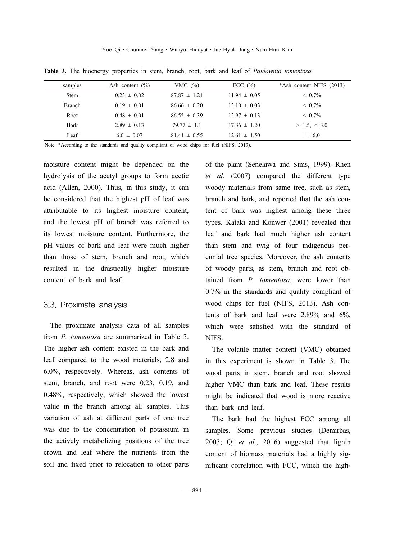| samples       | Ash content $(\% )$ | VMC $(\% )$      | FCC $(\% )$      | $*Ash content NIFS (2013)$ |
|---------------|---------------------|------------------|------------------|----------------------------|
| <b>Stem</b>   | $0.23 \pm 0.02$     | $87.87 \pm 1.21$ | $11.94 \pm 0.05$ | $< 0.7\%$                  |
| <b>Branch</b> | $0.19 \pm 0.01$     | $8666 \pm 0.20$  | $13.10 \pm 0.03$ | $\leq 0.7\%$               |
| Root          | $0.48 \pm 0.01$     | $8655 \pm 039$   | $12.97 \pm 0.13$ | $\leq 0.7\%$               |
| <b>Bark</b>   | $2.89 \pm 0.13$     | $79.77 \pm 1.1$  | $17.36 \pm 1.20$ | $> 1.5, \leq 3.0$          |
| Leaf          | $6.0 \pm 0.07$      | $81.41 \pm 0.55$ | $12.61 \pm 1.50$ | $= 6.0$                    |

Table 3. The bioenergy properties in stem, branch, root, bark and leaf of Paulownia tomentosa

Note: \*According to the standards and quality compliant of wood chips for fuel (NIFS, 2013).

moisture content might be depended on the hydrolysis of the acetyl groups to form acetic acid (Allen, 2000). Thus, in this study, it can be considered that the highest pH of leaf was attributable to its highest moisture content, and the lowest pH of branch was referred to its lowest moisture content. Furthermore, the pH values of bark and leaf were much higher than those of stem, branch and root, which resulted in the drastically higher moisture content of bark and leaf.

### 3.3. Proximate analysis

The proximate analysis data of all samples from P. tomentosa are summarized in Table 3. The higher ash content existed in the bark and leaf compared to the wood materials, 2.8 and 6.0%, respectively. Whereas, ash contents of stem, branch, and root were 0.23, 0.19, and 0.48%, respectively, which showed the lowest value in the branch among all samples. This variation of ash at different parts of one tree was due to the concentration of potassium in the actively metabolizing positions of the tree crown and leaf where the nutrients from the soil and fixed prior to relocation to other parts

of the plant (Senelawa and Sims, 1999). Rhen et al. (2007) compared the different type woody materials from same tree, such as stem, branch and bark, and reported that the ash content of bark was highest among these three types. Kataki and Konwer (2001) revealed that leaf and bark had much higher ash content than stem and twig of four indigenous perennial tree species. Moreover, the ash contents of woody parts, as stem, branch and root obtained from P. tomentosa, were lower than 0.7% in the standards and quality compliant of wood chips for fuel (NIFS, 2013). Ash contents of bark and leaf were 2.89% and 6%, which were satisfied with the standard of NIFS.

The volatile matter content (VMC) obtained in this experiment is shown in Table 3. The wood parts in stem, branch and root showed higher VMC than bark and leaf. These results might be indicated that wood is more reactive than bark and leaf.

The bark had the highest FCC among all samples. Some previous studies (Demirbas, 2003; Qi et al., 2016) suggested that lignin content of biomass materials had a highly significant correlation with FCC, which the high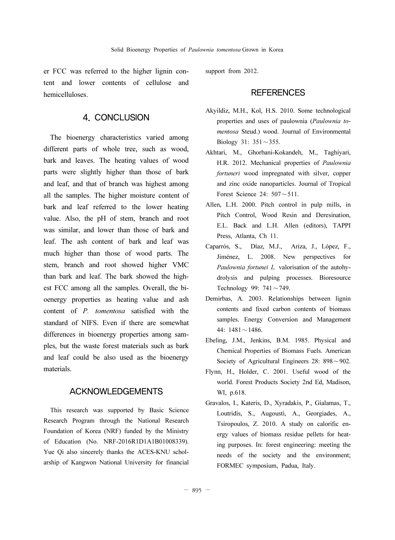er FCC was referred to the higher lignin content and lower contents of cellulose and hemicelluloses.

## 4. CONCLUSION

The bioenergy characteristics varied among different parts of whole tree, such as wood, bark and leaves. The heating values of wood parts were slightly higher than those of bark and leaf, and that of branch was highest among all the samples. The higher moisture content of bark and leaf referred to the lower heating value. Also, the pH of stem, branch and root was similar, and lower than those of bark and leaf. The ash content of bark and leaf was much higher than those of wood parts. The stem, branch and root showed higher VMC than bark and leaf. The bark showed the highest FCC among all the samples. Overall, the bioenergy properties as heating value and ash content of P. tomentosa satisfied with the standard of NIFS. Even if there are somewhat differences in bioenergy properties among samples, but the waste forest materials such as bark and leaf could be also used as the bioenergy materials.

## ACKNOWLEDGEMENTS

This research was supported by Basic Science Research Program through the National Research Foundation of Korea (NRF) funded by the Ministry of Education (No. NRF-2016R1D1A1B01008339). Yue Qi also sincerely thanks the ACES-KNU scholarship of Kangwon National University for financial support from 2012.

## **REFERENCES**

- Akyildiz, M.H., Kol, H.S. 2010. Some technological properties and uses of paulownia (Paulownia tomentosa Steud.) wood. Journal of Environmental Biology 31: 351∼355.
- Akhtari, M., Ghorbani-Kokandeh, M., Taghiyari, H.R. 2012. Mechanical properties of Paulownia fortuneri wood impregnated with silver, copper and zinc oxide nanoparticles. Journal of Tropical Forest Science 24: 507∼511.
- Allen, L.H. 2000. Pitch control in pulp mills, in Pitch Control, Wood Resin and Deresination, E.L. Back and L.H. Allen (editors), TAPPI Press, Atlanta, Ch 11.
- Caparrós, S., Díaz, M.J., Ariza, J., López, F., Jiménez, L. 2008. New perspectives for Paulownia fortunei L. valorisation of the autohydrolysis and pulping processes. Bioresource Technology 99: 741∼749.
- Demirbas, A. 2003. Relationships between lignin contents and fixed carbon contents of biomass samples. Energy Conversion and Management 44: 1481∼1486.
- Ebeling, J.M., Jenkins, B.M. 1985. Physical and Chemical Properties of Biomass Fuels. American Society of Agricultural Engineers 28: 898∼902.
- Flynn, H., Holder, C. 2001. Useful wood of the world. Forest Products Society 2nd Ed, Madison, WI, p.618.
- Gravalos, I., Kateris, D., Xyradakis, P., Gialamas, T., Loutridis, S., Augousti, A., Georgiades, A., Tsiropoulos, Z. 2010. A study on calorific energy values of biomass residue pellets for heating purposes. In: forest engineering: meeting the needs of the society and the environment; FORMEC symposium, Padua, Italy.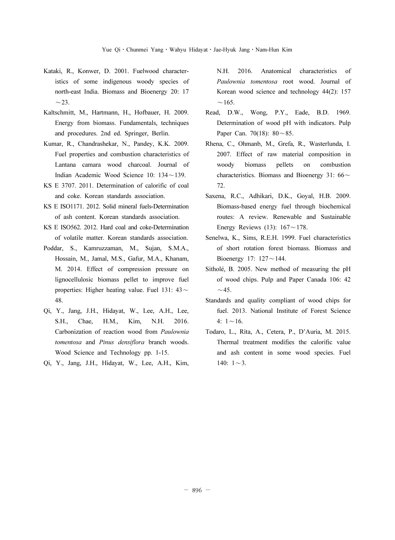- Kataki, R., Konwer, D. 2001. Fuelwood characteristics of some indigenous woody species of north-east India. Biomass and Bioenergy 20: 17 ∼ $\sim$ 23.
- Kaltschmitt, M., Hartmann, H., Hofbauer, H. 2009. Energy from biomass. Fundamentals, techniques and procedures. 2nd ed. Springer, Berlin.
- Kumar, R., Chandrashekar, N., Pandey, K.K. 2009. Fuel properties and combustion characteristics of Lantana camara wood charcoal. Journal of Indian Academic Wood Science 10: 134∼139.
- KS E 3707. 2011. Determination of calorific of coal and coke. Korean standards association.
- KS E ISO1171. 2012. Solid mineral fuels-Determination of ash content. Korean standards association.
- KS E ISO562. 2012. Hard coal and coke-Determination of volatile matter. Korean standards association.
- Poddar, S., Kamruzzaman, M., Sujan, S.M.A., Hossain, M., Jamal, M.S., Gafur, M.A., Khanam, M. 2014. Effect of compression pressure on lignocellulosic biomass pellet to improve fuel properties: Higher heating value. Fuel 131: 43<sup>∼</sup> 48.
- Qi, Y., Jang, J.H., Hidayat, W., Lee, A.H., Lee, S.H., Chae, H.M., Kim, N.H. 2016. Carbonization of reaction wood from Paulownia tomentosa and Pinus densiflora branch woods. Wood Science and Technology pp. 1-15.
- Qi, Y., Jang, J.H., Hidayat, W., Lee, A.H., Kim,

N.H. 2016. Anatomical characteristics of Paulownia tomentosa root wood. Journal of Korean wood science and technology 44(2): 157 ∼ $\sim$ 165.

- Read, D.W., Wong, P.Y., Eade, B.D. 1969. Determination of wood pH with indicators. Pulp Paper Can. 70(18): 80∼85.
- Rhena, C., Ohmanb, M., Grefa, R., Wasterlunda, I. 2007. Effect of raw material composition in woody biomass pellets on combustion characteristics. Biomass and Bioenergy 31: 66<sup>∼</sup> 72.
- Saxena, R.C., Adhikari, D.K., Goyal, H.B. 2009. Biomass-based energy fuel through biochemical routes: A review. Renewable and Sustainable Energy Reviews (13): 167∼178.
- Senelwa, K., Sims, R.E.H. 1999. Fuel characteristics of short rotation forest biomass. Biomass and Bioenergy 17: 127∼144.
- Sitholé, B. 2005. New method of measuring the pH of wood chips. Pulp and Paper Canada 106: 42 ∼ $\sim$ 45.
- Standards and quality compliant of wood chips for fuel. 2013. National Institute of Forest Science 4: 1∼16.
- Todaro, L., Rita, A., Cetera, P., D'Auria, M. 2015. Thermal treatment modifies the calorific value and ash content in some wood species. Fuel 140: 1∼3.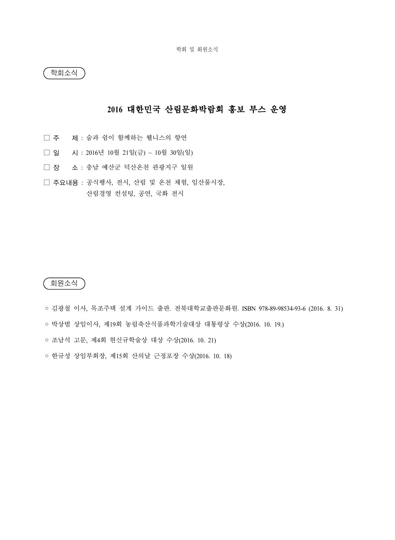학회소식

## 2016 대한민국 산림문화박람회 홍보 부스 운영

- □ 주 제 : 숨과 쉼이 함께하는 웰니스의 향연
- □ 일 시 : 2016년 10월 21일(금) ~ 10월 30일(일)
- □ 장 소 : 충남 예산군 덕산온천 관광지구 일원
- □ 주요내용 : 공식행사, 전시, 산림 및 온천 체험, 임산물시장, 산림경영 컨설팅, 공연, 국화 전시

회원소식

◦ 김광철 이사, 목조주택 설계 가이드 출판. 전북대학교출판문화원. ISBN 978-89-98534-93-6 (2016. 8. 31) ◦ 박상범 상임이사, 제19회 농림축산식품과학기술대상 대통령상 수상(2016. 10. 19.)

◦ 조남석 고문, 제4회 현신규학술상 대상 수상(2016. 10. 21)

◦ 한규성 상임부회장, 제15회 산의날 근정포장 수상(2016. 10. 18)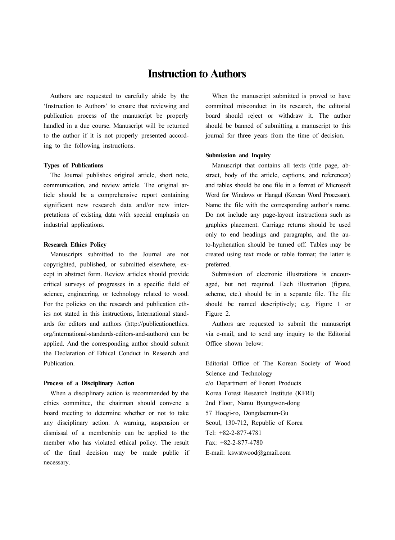# Instruction to Authors

Authors are requested to carefully abide by the 'Instruction to Authors' to ensure that reviewing and publication process of the manuscript be properly handled in a due course. Manuscript will be returned to the author if it is not properly presented according to the following instructions.

#### Types of Publications

The Journal publishes original article, short note, communication, and review article. The original article should be a comprehensive report containing significant new research data and/or new interpretations of existing data with special emphasis on industrial applications.

#### Research Ethics Policy

Manuscripts submitted to the Journal are not copyrighted, published, or submitted elsewhere, except in abstract form. Review articles should provide critical surveys of progresses in a specific field of science, engineering, or technology related to wood. For the policies on the research and publication ethics not stated in this instructions, International standards for editors and authors (http://publicationethics. org/international-standards-editors-and-authors) can be applied. And the corresponding author should submit the Declaration of Ethical Conduct in Research and Publication.

#### Process of a Disciplinary Action

When a disciplinary action is recommended by the ethics committee, the chairman should convene a board meeting to determine whether or not to take any disciplinary action. A warning, suspension or dismissal of a membership can be applied to the member who has violated ethical policy. The result of the final decision may be made public if necessary.

When the manuscript submitted is proved to have committed misconduct in its research, the editorial board should reject or withdraw it. The author should be banned of submitting a manuscript to this journal for three years from the time of decision.

#### Submission and Inquiry

Manuscript that contains all texts (title page, abstract, body of the article, captions, and references) and tables should be one file in a format of Microsoft Word for Windows or Hangul (Korean Word Processor). Name the file with the corresponding author's name. Do not include any page-layout instructions such as graphics placement. Carriage returns should be used only to end headings and paragraphs, and the auto-hyphenation should be turned off. Tables may be created using text mode or table format; the latter is preferred.

Submission of electronic illustrations is encouraged, but not required. Each illustration (figure, scheme, etc.) should be in a separate file. The file should be named descriptively; e.g. Figure 1 or Figure 2.

Authors are requested to submit the manuscript via e-mail, and to send any inquiry to the Editorial Office shown below:

Editorial Office of The Korean Society of Wood Science and Technology c/o Department of Forest Products Korea Forest Research Institute (KFRI) 2nd Floor, Namu Byungwon-dong 57 Hoegi-ro, Dongdaemun-Gu Seoul, 130-712, Republic of Korea Tel: +82-2-877-4781 Fax: +82-2-877-4780 E-mail: kswstwood@gmail.com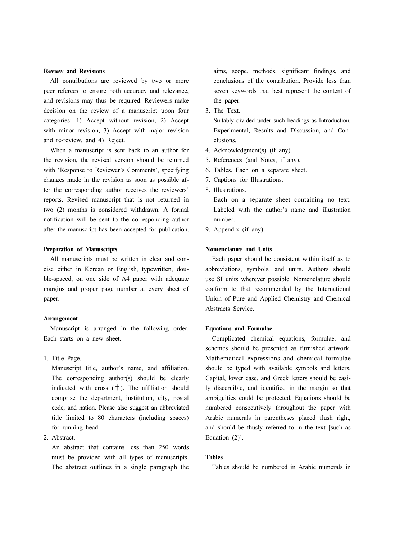#### Review and Revisions

All contributions are reviewed by two or more peer referees to ensure both accuracy and relevance, and revisions may thus be required. Reviewers make decision on the review of a manuscript upon four categories: 1) Accept without revision, 2) Accept with minor revision, 3) Accept with major revision and re-review, and 4) Reject.

When a manuscript is sent back to an author for the revision, the revised version should be returned with 'Response to Reviewer's Comments', specifying changes made in the revision as soon as possible after the corresponding author receives the reviewers' reports. Revised manuscript that is not returned in two (2) months is considered withdrawn. A formal notification will be sent to the corresponding author after the manuscript has been accepted for publication.

#### Preparation of Manuscripts

All manuscripts must be written in clear and concise either in Korean or English, typewritten, double-spaced, on one side of A4 paper with adequate margins and proper page number at every sheet of paper.

#### Arrangement

Manuscript is arranged in the following order. Each starts on a new sheet.

1. Title Page.

Manuscript title, author's name, and affiliation. The corresponding author(s) should be clearly indicated with cross  $(+)$ . The affiliation should comprise the department, institution, city, postal code, and nation. Please also suggest an abbreviated title limited to 80 characters (including spaces) for running head.

2. Abstract.

An abstract that contains less than 250 words must be provided with all types of manuscripts. The abstract outlines in a single paragraph the aims, scope, methods, significant findings, and conclusions of the contribution. Provide less than seven keywords that best represent the content of the paper.

3. The Text.

Suitably divided under such headings as Introduction, Experimental, Results and Discussion, and Conclusions.

- 4. Acknowledgment(s) (if any).
- 5. References (and Notes, if any).
- 6. Tables. Each on a separate sheet.
- 7. Captions for Illustrations.
- 8. Illustrations.

Each on a separate sheet containing no text. Labeled with the author's name and illustration number.

9. Appendix (if any).

### Nomenclature and Units

Each paper should be consistent within itself as to abbreviations, symbols, and units. Authors should use SI units wherever possible. Nomenclature should conform to that recommended by the International Union of Pure and Applied Chemistry and Chemical Abstracts Service.

#### Equations and Formulae

Complicated chemical equations, formulae, and schemes should be presented as furnished artwork. Mathematical expressions and chemical formulae should be typed with available symbols and letters. Capital, lower case, and Greek letters should be easily discernible, and identified in the margin so that ambiguities could be protected. Equations should be numbered consecutively throughout the paper with Arabic numerals in parentheses placed flush right, and should be thusly referred to in the text [such as Equation (2)].

#### Tables

Tables should be numbered in Arabic numerals in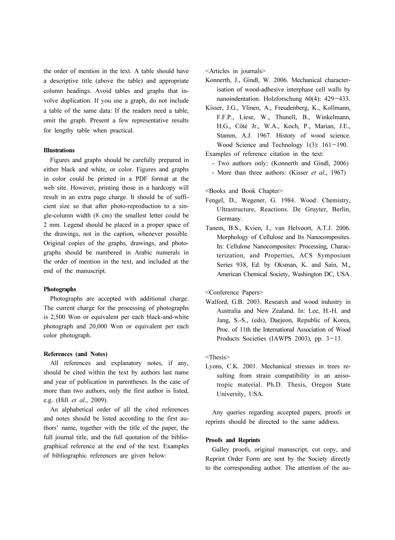the order of mention in the text. A table should have a descriptive title (above the table) and appropriate column headings. Avoid tables and graphs that involve duplication. If you use a graph, do not include a table of the same data: If the readers need a table, omit the graph. Present a few representative results for lengthy table when practical.

#### Illustrations

Figures and graphs should be carefully prepared in either black and white, or color. Figures and graphs in color could be printed in a PDF format at the web site. However, printing those in a hardcopy will result in an extra page charge. It should be of sufficient size so that after photo-reproduction to a single-column width (8 cm) the smallest letter could be 2 mm. Legend should be placed in a proper space of the drawings, not in the caption, whenever possible. Original copies of the graphs, drawings, and photographs should be numbered in Arabic numerals in the order of mention in the text, and included at the end of the manuscript.

#### Photographs

Photographs are accepted with additional charge. The current charge for the processing of photographs is 2,500 Won or equivalent per each black-and-white photograph and 20,000 Won or equivalent per each color photograph.

#### References (and Notes)

All references and explanatory notes, if any, should be cited within the text by authors last name and year of publication in parentheses. In the case of more than two authors, only the first author is listed, e.g. (Hill et al., 2009).

An alphabetical order of all the cited references and notes should be listed according to the first authors' name, together with the title of the paper, the full journal title, and the full quotation of the bibliographical reference at the end of the text. Examples of bibliographic references are given below:

<Articles in journals>

- Konnerth, J., Gindl, W. 2006. Mechanical characterisation of wood-adhesive interphase cell walls by nanoindentation. Holzforschung 60(4): 429~433.
- Kisser, J.G., Ylinen, A., Freudenberg, K., Kollmann, F.F.P., Liese, W., Thunell, B., Winkelmann, H.G., Côté Jr., W.A., Koch, P., Marian, J.E., Stamm, A.J. 1967. History of wood science.<br>Wood Science and Technology 1(3): 161~190.

Examples of reference citation in the text:

- Two authors only: (Konnerth and Gindl, 2006)
- More than three authors: (Kisser et al., 1967)

#### <Books and Book Chapter>

- Fengel, D., Wegener, G. 1984. Wood: Chemistry, Ultrastructure, Reactions. De Gruyter, Berlin, Germany.
- Tanem, B.S., Kvien, I., van Helvoort, A.T.J. 2006. Morphology of Cellulose and Its Nanocomposites. In: Cellulose Nanocomposites: Processing, Characterization, and Properties, ACS Symposium Series 938, Ed. by Oksman, K. and Sain, M., American Chemical Society, Washington DC, USA.

<Conference Papers>

Walford, G.B. 2003. Research and wood industry in Australia and New Zealand. In: Lee, H.-H. and Jang, S.-S., (eds), Daejeon, Republic of Korea, Proc. of 11th the International Association of Wood Products Societies (IAWPS 2003), pp.  $3 \sim 13$ .

#### <Thesis>

Lyons, C.K. 2001. Mechanical stresses in trees resulting from strain compatibility in an anisotropic material. Ph.D. Thesis, Oregon State University, USA.

Any queries regarding accepted papers, proofs or reprints should be directed to the same address.

#### Proofs and Reprints

Galley proofs, original manuscript, cut copy, and Reprint Order Form are sent by the Society directly to the corresponding author. The attention of the au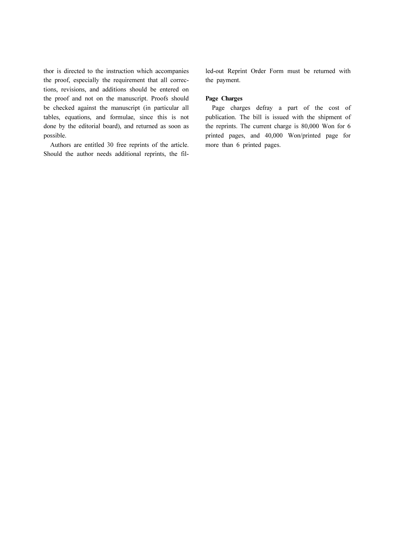thor is directed to the instruction which accompanies the proof, especially the requirement that all corrections, revisions, and additions should be entered on the proof and not on the manuscript. Proofs should be checked against the manuscript (in particular all tables, equations, and formulae, since this is not done by the editorial board), and returned as soon as possible.

Authors are entitled 30 free reprints of the article. Should the author needs additional reprints, the filled-out Reprint Order Form must be returned with the payment.

#### Page Charges

Page charges defray a part of the cost of publication. The bill is issued with the shipment of the reprints. The current charge is 80,000 Won for 6 printed pages, and 40,000 Won/printed page for more than 6 printed pages.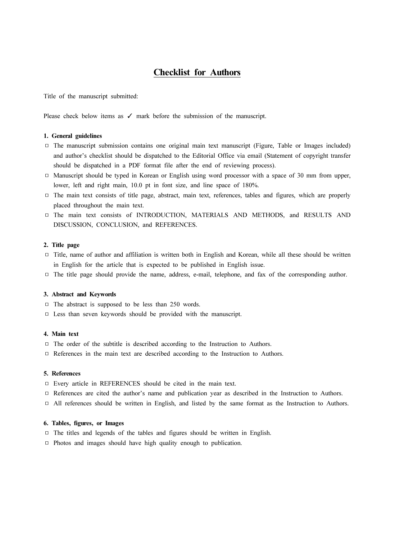## Checklist for Authors

Title of the manuscript submitted:

Please check below items as √ mark before the submission of the manuscript.

#### 1. General guidelines

- □ The manuscript submission contains one original main text manuscript (Figure, Table or Images included) and author's checklist should be dispatched to the Editorial Office via email (Statement of copyright transfer should be dispatched in a PDF format file after the end of reviewing process).
- □ Manuscript should be typed in Korean or English using word processor with a space of 30 mm from upper, lower, left and right main, 10.0 pt in font size, and line space of 180%.
- □ The main text consists of title page, abstract, main text, references, tables and figures, which are properly placed throughout the main text.
- □ The main text consists of INTRODUCTION, MATERIALS AND METHODS, and RESULTS AND DISCUSSION, CONCLUSION, and REFERENCES.

#### 2. Title page

- □ Title, name of author and affiliation is written both in English and Korean, while all these should be written in English for the article that is expected to be published in English issue.
- □ The title page should provide the name, address, e-mail, telephone, and fax of the corresponding author.

#### 3. Abstract and Keywords

- □ The abstract is supposed to be less than 250 words.
- □ Less than seven keywords should be provided with the manuscript.

#### 4. Main text

- □ The order of the subtitle is described according to the Instruction to Authors.
- □ References in the main text are described according to the Instruction to Authors.

#### 5. References

- □ Every article in REFERENCES should be cited in the main text.
- □ References are cited the author's name and publication year as described in the Instruction to Authors.
- □All references should be written in English, and listed by the same format as the Instruction to Authors.

#### 6. Tables, figures, or Images

- □ The titles and legends of the tables and figures should be written in English.
- □ Photos and images should have high quality enough to publication.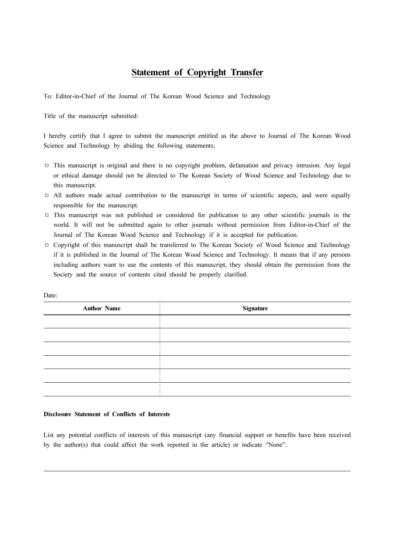## **Statement of Copyright Transfer**

To: Editor-in-Chief of the Journal of The Korean Wood Science and Technology

Title of the manuscript submitted:

I hereby certify that I agree to submit the manuscript entitled as the above to Journal of The Korean Wood Science and Technology by abiding the following statements;

- □ This manuscript is original and there is no copyright problem, defamation and privacy intrusion. Any legal or ethical damage should not be directed to The Korean Society of Wood Science and Technology due to this manuscript.
- □ All authors made actual contribution to the manuscript in terms of scientific aspects, and were equally responsible for the manuscript.
- □ This manuscript was not published or considered for publication to any other scientific journals in the world. It will not be submitted again to other journals without permission from Editor-in-Chief of the Journal of The Korean Wood Science and Technology if it is accepted for publication.
- □ Copyright of this manuscript shall be transferred to The Korean Society of Wood Science and Technology if it is published in the Journal of The Korean Wood Science and Technology. It means that if any persons including authors want to use the contents of this manuscript, they should obtain the permission from the Society and the source of contents cited should be properly clarified.

| <b>Author Name</b> | Signature |
|--------------------|-----------|
|                    |           |
|                    |           |
|                    |           |
|                    |           |
|                    |           |
|                    |           |

#### Disclosure Statement of Conflicts of Interests

List any potential conflicts of interests of this manuscript (any financial support or benefits have been received by the author(s) that could affect the work reported in the article) or indicate "None".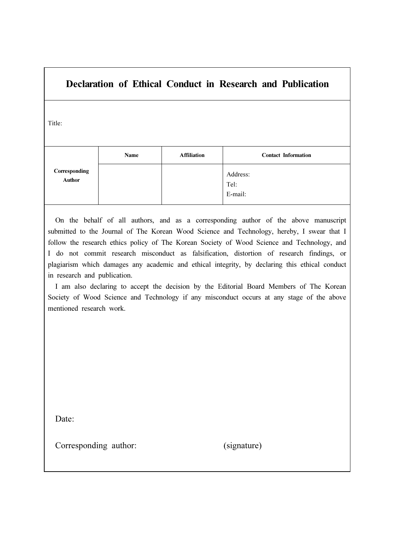# Declaration of Ethical Conduct in Research and Publication

Title:

|                         | Name | <b>Affiliation</b> | <b>Contact Information</b>  |
|-------------------------|------|--------------------|-----------------------------|
| Corresponding<br>Author |      |                    | Address:<br>Tel:<br>E-mail: |

On the behalf of all authors, and as a corresponding author of the above manuscript submitted to the Journal of The Korean Wood Science and Technology, hereby, I swear that I follow the research ethics policy of The Korean Society of Wood Science and Technology, and I do not commit research misconduct as falsification, distortion of research findings, or plagiarism which damages any academic and ethical integrity, by declaring this ethical conduct in research and publication.

I am also declaring to accept the decision by the Editorial Board Members of The Korean Society of Wood Science and Technology if any misconduct occurs at any stage of the above mentioned research work.

Date:

Corresponding author: (signature)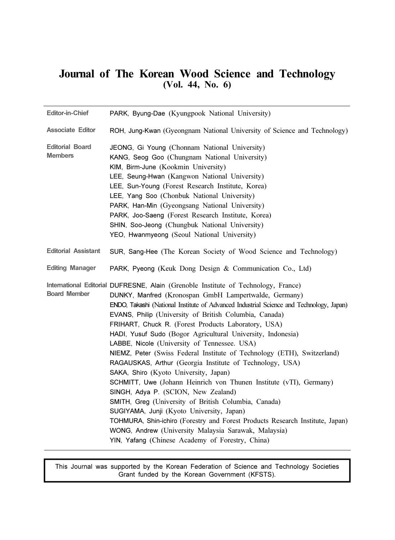# Journal of The Korean Wood Science and Technology (Vol. 44, No. 6)

| <b>Editor-in-Chief</b>                   | PARK, Byung-Dae (Kyungpook National University)                                                                                                                                                                                                                                                                                                                                                                                                                                                                                                                                                                                                                                                                                                                                                                                                                                                                                                                                                                                                                       |  |
|------------------------------------------|-----------------------------------------------------------------------------------------------------------------------------------------------------------------------------------------------------------------------------------------------------------------------------------------------------------------------------------------------------------------------------------------------------------------------------------------------------------------------------------------------------------------------------------------------------------------------------------------------------------------------------------------------------------------------------------------------------------------------------------------------------------------------------------------------------------------------------------------------------------------------------------------------------------------------------------------------------------------------------------------------------------------------------------------------------------------------|--|
| <b>Associate Editor</b>                  | ROH, Jung-Kwan (Gyeongnam National University of Science and Technology)                                                                                                                                                                                                                                                                                                                                                                                                                                                                                                                                                                                                                                                                                                                                                                                                                                                                                                                                                                                              |  |
| <b>Editorial Board</b><br><b>Members</b> | JEONG, Gi Young (Chonnam National University)<br>KANG, Seog Goo (Chungnam National University)<br>KIM, Birm-June (Kookmin University)<br>LEE, Seung-Hwan (Kangwon National University)<br>LEE, Sun-Young (Forest Research Institute, Korea)<br>LEE, Yang Soo (Chonbuk National University)<br>PARK, Han-Min (Gyeongsang National University)<br>PARK, Joo-Saeng (Forest Research Institute, Korea)<br>SHIN, Soo-Jeong (Chungbuk National University)<br>YEO, Hwanmyeong (Seoul National University)                                                                                                                                                                                                                                                                                                                                                                                                                                                                                                                                                                   |  |
| <b>Editorial Assistant</b>               | SUR, Sang-Hee (The Korean Society of Wood Science and Technology)                                                                                                                                                                                                                                                                                                                                                                                                                                                                                                                                                                                                                                                                                                                                                                                                                                                                                                                                                                                                     |  |
| <b>Editing Manager</b>                   | PARK, Pyeong (Keuk Dong Design & Communication Co., Ltd)                                                                                                                                                                                                                                                                                                                                                                                                                                                                                                                                                                                                                                                                                                                                                                                                                                                                                                                                                                                                              |  |
| <b>Board Member</b>                      | International Editorial DUFRESNE, Alain (Grenoble Institute of Technology, France)<br>DUNKY, Manfred (Kronospan GmbH Lampertwalde, Germany)<br>ENDO, Takashi (National Institute of Advanced Industrial Science and Technology, Japan)<br>EVANS, Philip (University of British Columbia, Canada)<br>FRIHART, Chuck R. (Forest Products Laboratory, USA)<br>HADI, Yusuf Sudo (Bogor Agricultural University, Indonesia)<br>LABBE, Nicole (University of Tennessee. USA)<br>NIEMZ, Peter (Swiss Federal Institute of Technology (ETH), Switzerland)<br>RAGAUSKAS, Arthur (Georgia Institute of Technology, USA)<br>SAKA, Shiro (Kyoto University, Japan)<br>SCHMITT, Uwe (Johann Heinrich von Thunen Institute (vTI), Germany)<br>SINGH, Adya P. (SCION, New Zealand)<br>SMITH, Greg (University of British Columbia, Canada)<br>SUGIYAMA, Junji (Kyoto University, Japan)<br>TOHMURA, Shin-ichiro (Forestry and Forest Products Research Institute, Japan)<br>WONG, Andrew (University Malaysia Sarawak, Malaysia)<br>YIN, Yafang (Chinese Academy of Forestry, China) |  |

This Journal was supported by the Korean Federation of Science and Technology Societies Grant funded by the Korean Government (KFSTS).